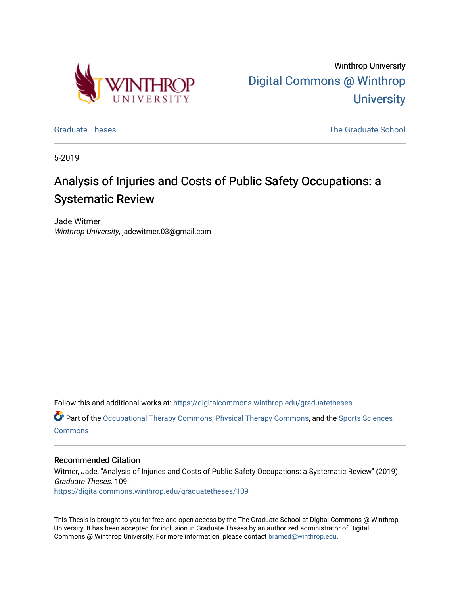

Winthrop University [Digital Commons @ Winthrop](https://digitalcommons.winthrop.edu/)  **University** 

[Graduate Theses](https://digitalcommons.winthrop.edu/graduatetheses) **The Graduate School** Craduate School Craduate School Craduate School Craduate School Craduate School

5-2019

# Analysis of Injuries and Costs of Public Safety Occupations: a Systematic Review

Jade Witmer Winthrop University, jadewitmer.03@gmail.com

Follow this and additional works at: [https://digitalcommons.winthrop.edu/graduatetheses](https://digitalcommons.winthrop.edu/graduatetheses?utm_source=digitalcommons.winthrop.edu%2Fgraduatetheses%2F109&utm_medium=PDF&utm_campaign=PDFCoverPages)

 $\bullet$  Part of the [Occupational Therapy Commons,](http://network.bepress.com/hgg/discipline/752?utm_source=digitalcommons.winthrop.edu%2Fgraduatetheses%2F109&utm_medium=PDF&utm_campaign=PDFCoverPages) [Physical Therapy Commons](http://network.bepress.com/hgg/discipline/754?utm_source=digitalcommons.winthrop.edu%2Fgraduatetheses%2F109&utm_medium=PDF&utm_campaign=PDFCoverPages), and the Sports Sciences **[Commons](http://network.bepress.com/hgg/discipline/759?utm_source=digitalcommons.winthrop.edu%2Fgraduatetheses%2F109&utm_medium=PDF&utm_campaign=PDFCoverPages)** 

#### Recommended Citation

Witmer, Jade, "Analysis of Injuries and Costs of Public Safety Occupations: a Systematic Review" (2019). Graduate Theses. 109. [https://digitalcommons.winthrop.edu/graduatetheses/109](https://digitalcommons.winthrop.edu/graduatetheses/109?utm_source=digitalcommons.winthrop.edu%2Fgraduatetheses%2F109&utm_medium=PDF&utm_campaign=PDFCoverPages)

This Thesis is brought to you for free and open access by the The Graduate School at Digital Commons @ Winthrop University. It has been accepted for inclusion in Graduate Theses by an authorized administrator of Digital Commons @ Winthrop University. For more information, please contact [bramed@winthrop.edu](mailto:bramed@winthrop.edu).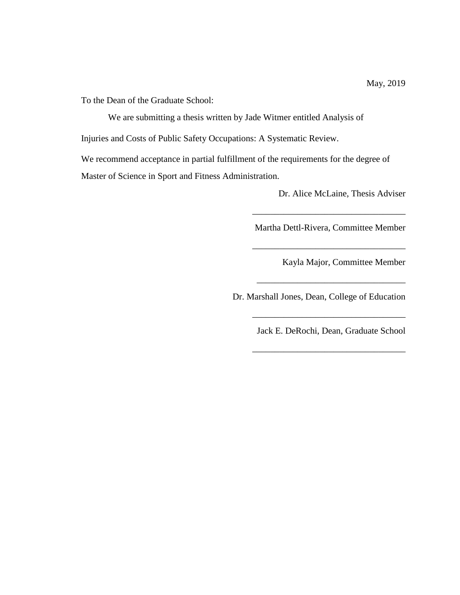To the Dean of the Graduate School:

We are submitting a thesis written by Jade Witmer entitled Analysis of

Injuries and Costs of Public Safety Occupations: A Systematic Review.

We recommend acceptance in partial fulfillment of the requirements for the degree of Master of Science in Sport and Fitness Administration.

Dr. Alice McLaine, Thesis Adviser

Martha Dettl-Rivera, Committee Member

\_\_\_\_\_\_\_\_\_\_\_\_\_\_\_\_\_\_\_\_\_\_\_\_\_\_\_\_\_\_\_\_\_\_

\_\_\_\_\_\_\_\_\_\_\_\_\_\_\_\_\_\_\_\_\_\_\_\_\_\_\_\_\_\_\_\_\_

\_\_\_\_\_\_\_\_\_\_\_\_\_\_\_\_\_\_\_\_\_\_\_\_\_\_\_\_\_\_\_\_\_\_

Kayla Major, Committee Member

Dr. Marshall Jones, Dean, College of Education

Jack E. DeRochi, Dean, Graduate School

\_\_\_\_\_\_\_\_\_\_\_\_\_\_\_\_\_\_\_\_\_\_\_\_\_\_\_\_\_\_\_\_\_\_

\_\_\_\_\_\_\_\_\_\_\_\_\_\_\_\_\_\_\_\_\_\_\_\_\_\_\_\_\_\_\_\_\_\_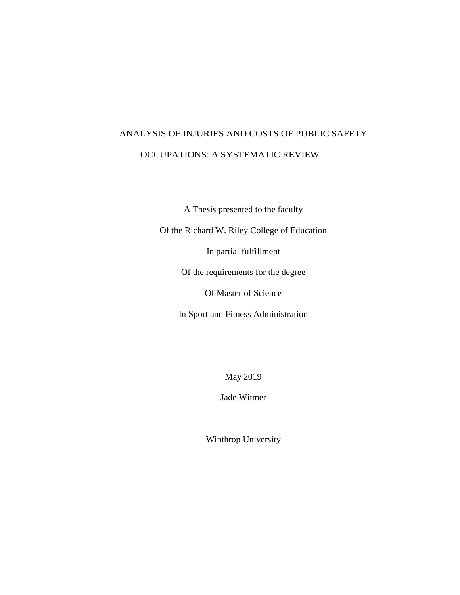# ANALYSIS OF INJURIES AND COSTS OF PUBLIC SAFETY OCCUPATIONS: A SYSTEMATIC REVIEW

A Thesis presented to the faculty

Of the Richard W. Riley College of Education

In partial fulfillment

Of the requirements for the degree

Of Master of Science

In Sport and Fitness Administration

May 2019

Jade Witmer

Winthrop University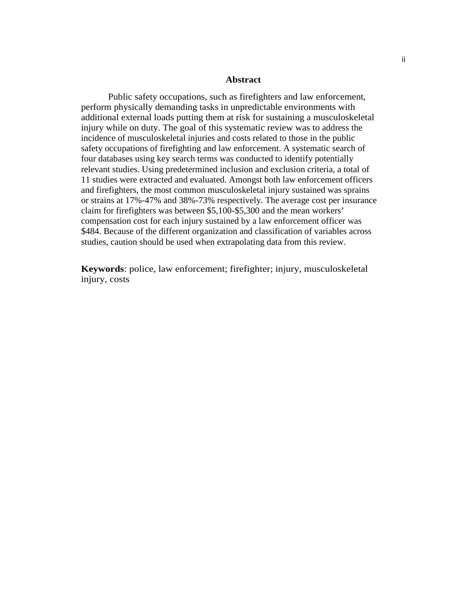#### **Abstract**

Public safety occupations, such as firefighters and law enforcement, perform physically demanding tasks in unpredictable environments with additional external loads putting them at risk for sustaining a musculoskeletal injury while on duty. The goal of this systematic review was to address the incidence of musculoskeletal injuries and costs related to those in the public safety occupations of firefighting and law enforcement. A systematic search of four databases using key search terms was conducted to identify potentially relevant studies. Using predetermined inclusion and exclusion criteria, a total of 11 studies were extracted and evaluated. Amongst both law enforcement officers and firefighters, the most common musculoskeletal injury sustained was sprains or strains at 17%-47% and 38%-73% respectively. The average cost per insurance claim for firefighters was between \$5,100-\$5,300 and the mean workers' compensation cost for each injury sustained by a law enforcement officer was \$484. Because of the different organization and classification of variables across studies, caution should be used when extrapolating data from this review.

**Keywords**: police, law enforcement; firefighter; injury, musculoskeletal injury, costs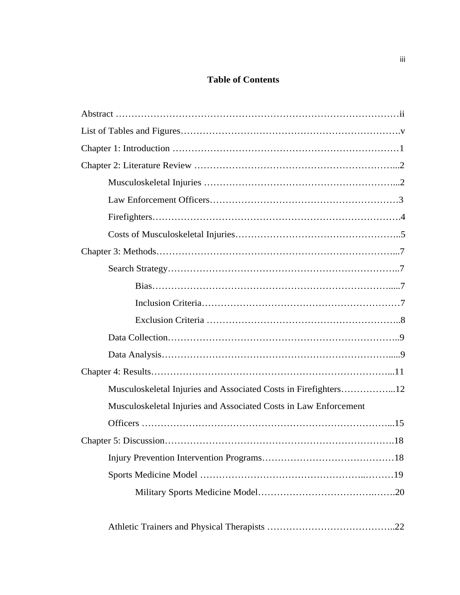### **Table of Contents**

| Musculoskeletal Injuries and Associated Costs in Firefighters12  |  |
|------------------------------------------------------------------|--|
| Musculoskeletal Injuries and Associated Costs in Law Enforcement |  |
|                                                                  |  |
|                                                                  |  |
|                                                                  |  |
|                                                                  |  |
|                                                                  |  |
|                                                                  |  |
|                                                                  |  |

|--|--|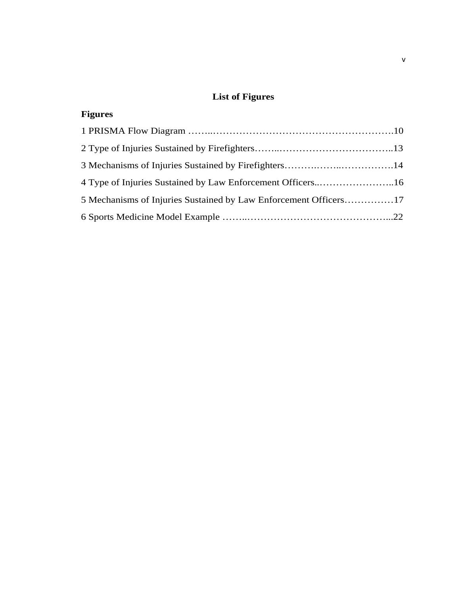## **List of Figures**

| <b>Figures</b>                                                   |  |
|------------------------------------------------------------------|--|
|                                                                  |  |
|                                                                  |  |
|                                                                  |  |
|                                                                  |  |
| 5 Mechanisms of Injuries Sustained by Law Enforcement Officers17 |  |
|                                                                  |  |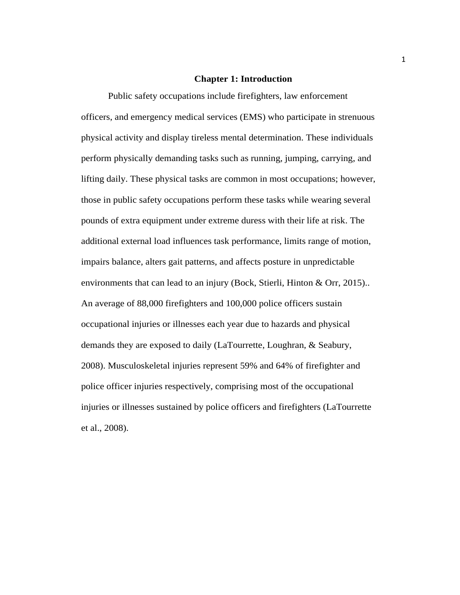#### **Chapter 1: Introduction**

Public safety occupations include firefighters, law enforcement officers, and emergency medical services (EMS) who participate in strenuous physical activity and display tireless mental determination. These individuals perform physically demanding tasks such as running, jumping, carrying, and lifting daily. These physical tasks are common in most occupations; however, those in public safety occupations perform these tasks while wearing several pounds of extra equipment under extreme duress with their life at risk. The additional external load influences task performance, limits range of motion, impairs balance, alters gait patterns, and affects posture in unpredictable environments that can lead to an injury (Bock, Stierli, Hinton & Orr, 2015).. An average of 88,000 firefighters and 100,000 police officers sustain occupational injuries or illnesses each year due to hazards and physical demands they are exposed to daily (LaTourrette, Loughran, & Seabury, 2008). Musculoskeletal injuries represent 59% and 64% of firefighter and police officer injuries respectively, comprising most of the occupational injuries or illnesses sustained by police officers and firefighters (LaTourrette et al., 2008).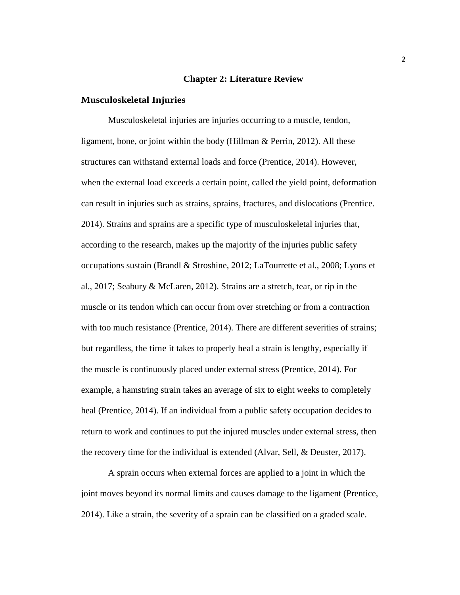#### **Chapter 2: Literature Review**

#### **Musculoskeletal Injuries**

Musculoskeletal injuries are injuries occurring to a muscle, tendon, ligament, bone, or joint within the body (Hillman & Perrin, 2012). All these structures can withstand external loads and force (Prentice, 2014). However, when the external load exceeds a certain point, called the yield point, deformation can result in injuries such as strains, sprains, fractures, and dislocations (Prentice. 2014). Strains and sprains are a specific type of musculoskeletal injuries that, according to the research, makes up the majority of the injuries public safety occupations sustain (Brandl & Stroshine, 2012; LaTourrette et al., 2008; Lyons et al., 2017; Seabury & McLaren, 2012). Strains are a stretch, tear, or rip in the muscle or its tendon which can occur from over stretching or from a contraction with too much resistance (Prentice, 2014). There are different severities of strains; but regardless, the time it takes to properly heal a strain is lengthy, especially if the muscle is continuously placed under external stress (Prentice, 2014). For example, a hamstring strain takes an average of six to eight weeks to completely heal (Prentice, 2014). If an individual from a public safety occupation decides to return to work and continues to put the injured muscles under external stress, then the recovery time for the individual is extended (Alvar, Sell, & Deuster, 2017).

A sprain occurs when external forces are applied to a joint in which the joint moves beyond its normal limits and causes damage to the ligament (Prentice, 2014). Like a strain, the severity of a sprain can be classified on a graded scale.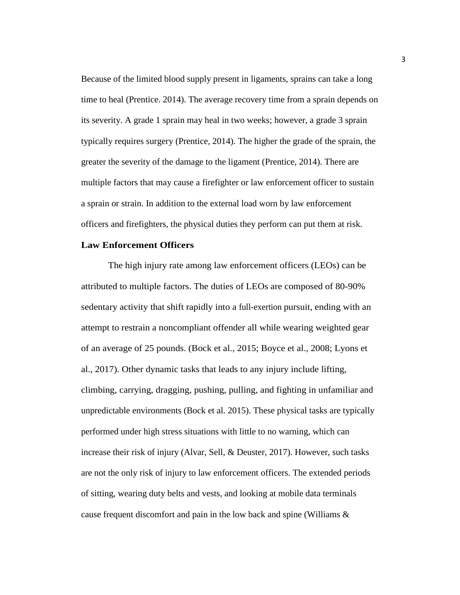Because of the limited blood supply present in ligaments, sprains can take a long time to heal (Prentice. 2014). The average recovery time from a sprain depends on its severity. A grade 1 sprain may heal in two weeks; however, a grade 3 sprain typically requires surgery (Prentice, 2014). The higher the grade of the sprain, the greater the severity of the damage to the ligament (Prentice, 2014). There are multiple factors that may cause a firefighter or law enforcement officer to sustain a sprain or strain. In addition to the external load worn by law enforcement officers and firefighters, the physical duties they perform can put them at risk.

#### **Law Enforcement Officers**

The high injury rate among law enforcement officers (LEOs) can be attributed to multiple factors. The duties of LEOs are composed of 80-90% sedentary activity that shift rapidly into a full-exertion pursuit, ending with an attempt to restrain a noncompliant offender all while wearing weighted gear of an average of 25 pounds. (Bock et al., 2015; Boyce et al., 2008; Lyons et al., 2017). Other dynamic tasks that leads to any injury include lifting, climbing, carrying, dragging, pushing, pulling, and fighting in unfamiliar and unpredictable environments (Bock et al. 2015). These physical tasks are typically performed under high stress situations with little to no warning, which can increase their risk of injury (Alvar, Sell, & Deuster, 2017). However, such tasks are not the only risk of injury to law enforcement officers. The extended periods of sitting, wearing duty belts and vests, and looking at mobile data terminals cause frequent discomfort and pain in the low back and spine (Williams &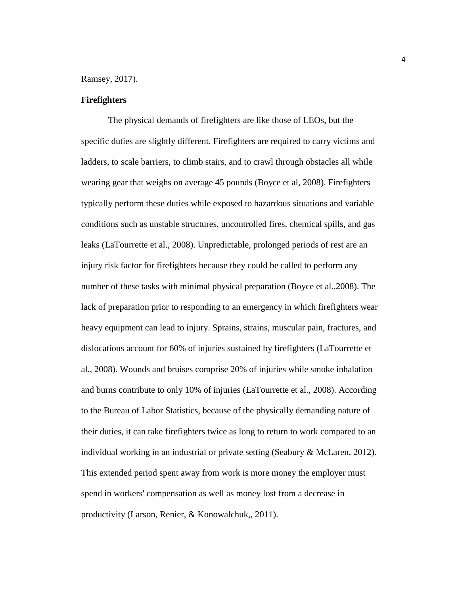Ramsey, 2017).

#### **Firefighters**

The physical demands of firefighters are like those of LEOs, but the specific duties are slightly different. Firefighters are required to carry victims and ladders, to scale barriers, to climb stairs, and to crawl through obstacles all while wearing gear that weighs on average 45 pounds (Boyce et al, 2008). Firefighters typically perform these duties while exposed to hazardous situations and variable conditions such as unstable structures, uncontrolled fires, chemical spills, and gas leaks (LaTourrette et al., 2008). Unpredictable, prolonged periods of rest are an injury risk factor for firefighters because they could be called to perform any number of these tasks with minimal physical preparation (Boyce et al.,2008). The lack of preparation prior to responding to an emergency in which firefighters wear heavy equipment can lead to injury. Sprains, strains, muscular pain, fractures, and dislocations account for 60% of injuries sustained by firefighters (LaTourrette et al., 2008). Wounds and bruises comprise 20% of injuries while smoke inhalation and burns contribute to only 10% of injuries (LaTourrette et al., 2008). According to the Bureau of Labor Statistics, because of the physically demanding nature of their duties, it can take firefighters twice as long to return to work compared to an individual working in an industrial or private setting (Seabury & McLaren, 2012). This extended period spent away from work is more money the employer must spend in workers' compensation as well as money lost from a decrease in productivity (Larson, Renier, & Konowalchuk,, 2011).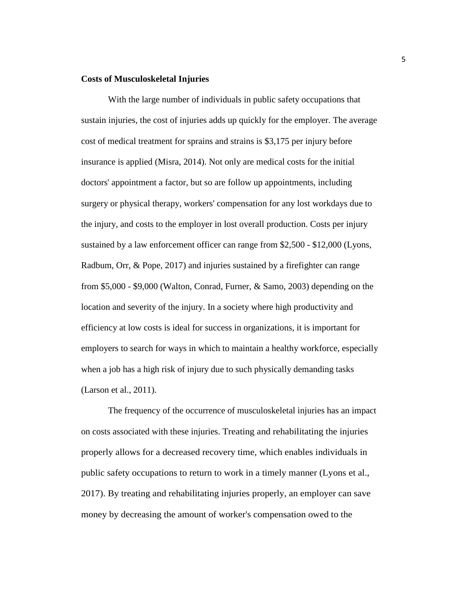#### **Costs of Musculoskeletal Injuries**

With the large number of individuals in public safety occupations that sustain injuries, the cost of injuries adds up quickly for the employer. The average cost of medical treatment for sprains and strains is \$3,175 per injury before insurance is applied (Misra, 2014). Not only are medical costs for the initial doctors' appointment a factor, but so are follow up appointments, including surgery or physical therapy, workers' compensation for any lost workdays due to the injury, and costs to the employer in lost overall production. Costs per injury sustained by a law enforcement officer can range from \$2,500 - \$12,000 (Lyons, Radbum, Orr, & Pope, 2017) and injuries sustained by a firefighter can range from \$5,000 - \$9,000 (Walton, Conrad, Furner, & Samo, 2003) depending on the location and severity of the injury. In a society where high productivity and efficiency at low costs is ideal for success in organizations, it is important for employers to search for ways in which to maintain a healthy workforce, especially when a job has a high risk of injury due to such physically demanding tasks (Larson et al., 2011).

The frequency of the occurrence of musculoskeletal injuries has an impact on costs associated with these injuries. Treating and rehabilitating the injuries properly allows for a decreased recovery time, which enables individuals in public safety occupations to return to work in a timely manner (Lyons et al., 2017). By treating and rehabilitating injuries properly, an employer can save money by decreasing the amount of worker's compensation owed to the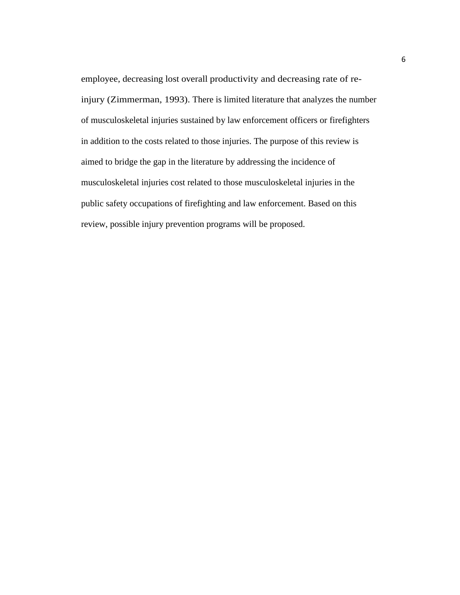employee, decreasing lost overall productivity and decreasing rate of reinjury (Zimmerman, 1993). There is limited literature that analyzes the number of musculoskeletal injuries sustained by law enforcement officers or firefighters in addition to the costs related to those injuries. The purpose of this review is aimed to bridge the gap in the literature by addressing the incidence of musculoskeletal injuries cost related to those musculoskeletal injuries in the public safety occupations of firefighting and law enforcement. Based on this review, possible injury prevention programs will be proposed.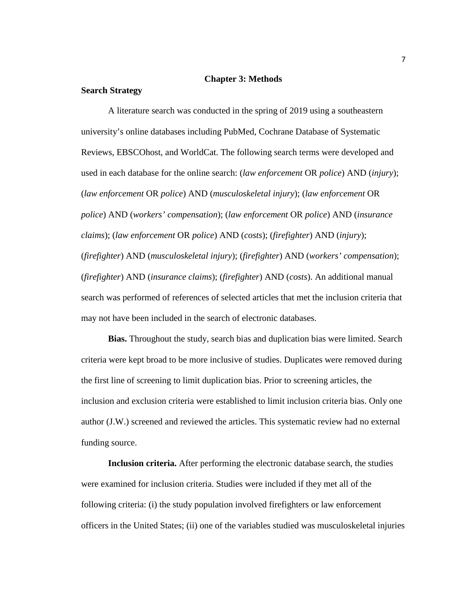#### **Chapter 3: Methods**

#### **Search Strategy**

A literature search was conducted in the spring of 2019 using a southeastern university's online databases including PubMed, Cochrane Database of Systematic Reviews, EBSCOhost, and WorldCat. The following search terms were developed and used in each database for the online search: (*law enforcement* OR *police*) AND (*injury*); (*law enforcement* OR *police*) AND (*musculoskeletal injury*); (*law enforcement* OR *police*) AND (*workers' compensation*); (*law enforcement* OR *police*) AND (*insurance claims*); (*law enforcement* OR *police*) AND (*costs*); (*firefighter*) AND (*injury*); (*firefighter*) AND (*musculoskeletal injury*); (*firefighter*) AND (*workers' compensation*); (*firefighter*) AND (*insurance claims*); (*firefighter*) AND (*costs*). An additional manual search was performed of references of selected articles that met the inclusion criteria that may not have been included in the search of electronic databases.

**Bias.** Throughout the study, search bias and duplication bias were limited. Search criteria were kept broad to be more inclusive of studies. Duplicates were removed during the first line of screening to limit duplication bias. Prior to screening articles, the inclusion and exclusion criteria were established to limit inclusion criteria bias. Only one author (J.W.) screened and reviewed the articles. This systematic review had no external funding source.

**Inclusion criteria.** After performing the electronic database search, the studies were examined for inclusion criteria. Studies were included if they met all of the following criteria: (i) the study population involved firefighters or law enforcement officers in the United States; (ii) one of the variables studied was musculoskeletal injuries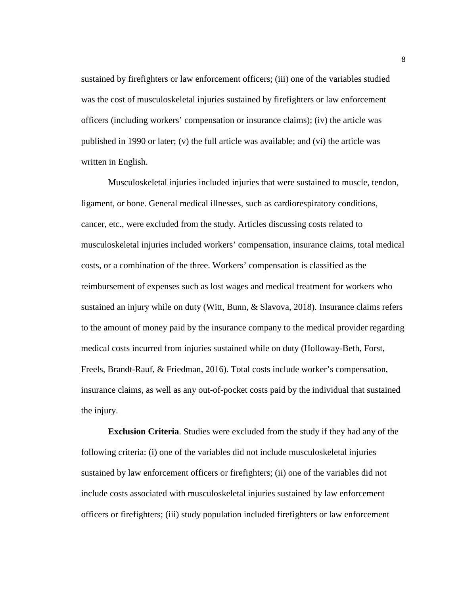sustained by firefighters or law enforcement officers; (iii) one of the variables studied was the cost of musculoskeletal injuries sustained by firefighters or law enforcement officers (including workers' compensation or insurance claims); (iv) the article was published in 1990 or later; (v) the full article was available; and (vi) the article was written in English.

Musculoskeletal injuries included injuries that were sustained to muscle, tendon, ligament, or bone. General medical illnesses, such as cardiorespiratory conditions, cancer, etc., were excluded from the study. Articles discussing costs related to musculoskeletal injuries included workers' compensation, insurance claims, total medical costs, or a combination of the three. Workers' compensation is classified as the reimbursement of expenses such as lost wages and medical treatment for workers who sustained an injury while on duty (Witt, Bunn, & Slavova, 2018). Insurance claims refers to the amount of money paid by the insurance company to the medical provider regarding medical costs incurred from injuries sustained while on duty (Holloway-Beth, Forst, Freels, Brandt-Rauf, & Friedman, 2016). Total costs include worker's compensation, insurance claims, as well as any out-of-pocket costs paid by the individual that sustained the injury.

**Exclusion Criteria**. Studies were excluded from the study if they had any of the following criteria: (i) one of the variables did not include musculoskeletal injuries sustained by law enforcement officers or firefighters; (ii) one of the variables did not include costs associated with musculoskeletal injuries sustained by law enforcement officers or firefighters; (iii) study population included firefighters or law enforcement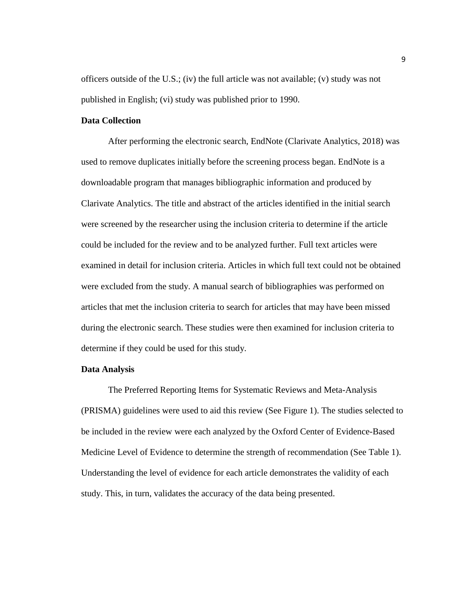officers outside of the U.S.; (iv) the full article was not available; (v) study was not published in English; (vi) study was published prior to 1990.

#### **Data Collection**

After performing the electronic search, EndNote (Clarivate Analytics, 2018) was used to remove duplicates initially before the screening process began. EndNote is a downloadable program that manages bibliographic information and produced by Clarivate Analytics. The title and abstract of the articles identified in the initial search were screened by the researcher using the inclusion criteria to determine if the article could be included for the review and to be analyzed further. Full text articles were examined in detail for inclusion criteria. Articles in which full text could not be obtained were excluded from the study. A manual search of bibliographies was performed on articles that met the inclusion criteria to search for articles that may have been missed during the electronic search. These studies were then examined for inclusion criteria to determine if they could be used for this study.

#### **Data Analysis**

The Preferred Reporting Items for Systematic Reviews and Meta-Analysis (PRISMA) guidelines were used to aid this review (See Figure 1). The studies selected to be included in the review were each analyzed by the Oxford Center of Evidence-Based Medicine Level of Evidence to determine the strength of recommendation (See Table 1). Understanding the level of evidence for each article demonstrates the validity of each study. This, in turn, validates the accuracy of the data being presented.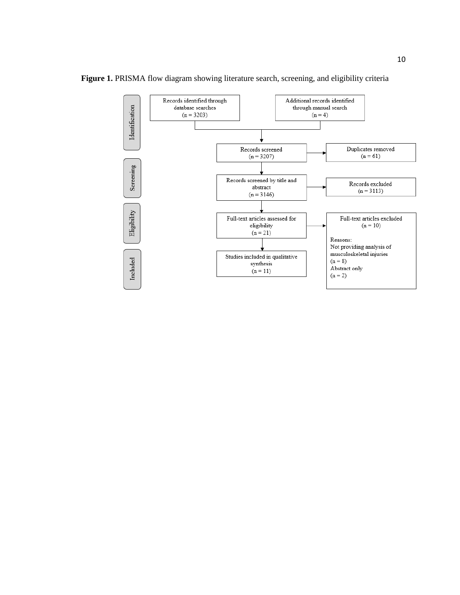

Figure 1. PRISMA flow diagram showing literature search, screening, and eligibility criteria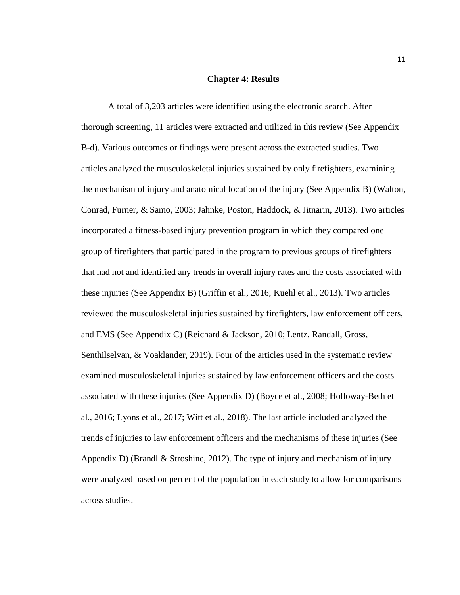#### **Chapter 4: Results**

A total of 3,203 articles were identified using the electronic search. After thorough screening, 11 articles were extracted and utilized in this review (See Appendix B-d). Various outcomes or findings were present across the extracted studies. Two articles analyzed the musculoskeletal injuries sustained by only firefighters, examining the mechanism of injury and anatomical location of the injury (See Appendix B) (Walton, Conrad, Furner, & Samo, 2003; Jahnke, Poston, Haddock, & Jitnarin, 2013). Two articles incorporated a fitness-based injury prevention program in which they compared one group of firefighters that participated in the program to previous groups of firefighters that had not and identified any trends in overall injury rates and the costs associated with these injuries (See Appendix B) (Griffin et al., 2016; Kuehl et al., 2013). Two articles reviewed the musculoskeletal injuries sustained by firefighters, law enforcement officers, and EMS (See Appendix C) (Reichard & Jackson, 2010; Lentz, Randall, Gross, Senthilselvan, & Voaklander, 2019). Four of the articles used in the systematic review examined musculoskeletal injuries sustained by law enforcement officers and the costs associated with these injuries (See Appendix D) (Boyce et al., 2008; Holloway-Beth et al., 2016; Lyons et al., 2017; Witt et al., 2018). The last article included analyzed the trends of injuries to law enforcement officers and the mechanisms of these injuries (See Appendix D) (Brandl & Stroshine, 2012). The type of injury and mechanism of injury were analyzed based on percent of the population in each study to allow for comparisons across studies.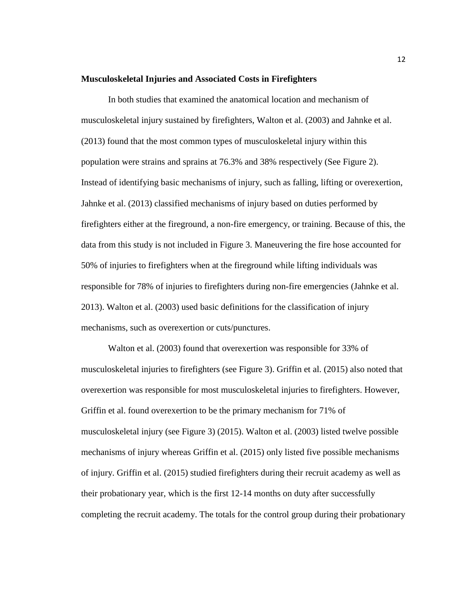#### **Musculoskeletal Injuries and Associated Costs in Firefighters**

In both studies that examined the anatomical location and mechanism of musculoskeletal injury sustained by firefighters, Walton et al. (2003) and Jahnke et al. (2013) found that the most common types of musculoskeletal injury within this population were strains and sprains at 76.3% and 38% respectively (See Figure 2). Instead of identifying basic mechanisms of injury, such as falling, lifting or overexertion, Jahnke et al. (2013) classified mechanisms of injury based on duties performed by firefighters either at the fireground, a non-fire emergency, or training. Because of this, the data from this study is not included in Figure 3. Maneuvering the fire hose accounted for 50% of injuries to firefighters when at the fireground while lifting individuals was responsible for 78% of injuries to firefighters during non-fire emergencies (Jahnke et al. 2013). Walton et al. (2003) used basic definitions for the classification of injury mechanisms, such as overexertion or cuts/punctures.

Walton et al. (2003) found that overexertion was responsible for 33% of musculoskeletal injuries to firefighters (see Figure 3). Griffin et al. (2015) also noted that overexertion was responsible for most musculoskeletal injuries to firefighters. However, Griffin et al. found overexertion to be the primary mechanism for 71% of musculoskeletal injury (see Figure 3) (2015). Walton et al. (2003) listed twelve possible mechanisms of injury whereas Griffin et al. (2015) only listed five possible mechanisms of injury. Griffin et al. (2015) studied firefighters during their recruit academy as well as their probationary year, which is the first 12-14 months on duty after successfully completing the recruit academy. The totals for the control group during their probationary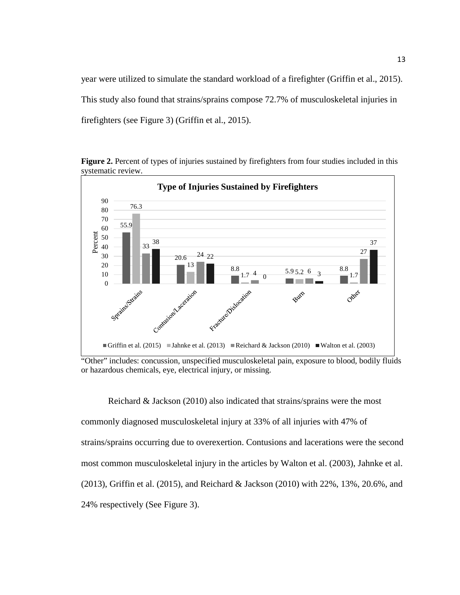year were utilized to simulate the standard workload of a firefighter (Griffin et al., 2015). This study also found that strains/sprains compose 72.7% of musculoskeletal injuries in firefighters (see Figure 3) (Griffin et al., 2015).



**Figure 2.** Percent of types of injuries sustained by firefighters from four studies included in this systematic review.

"Other" includes: concussion, unspecified musculoskeletal pain, exposure to blood, bodily fluids or hazardous chemicals, eye, electrical injury, or missing.

Reichard & Jackson (2010) also indicated that strains/sprains were the most commonly diagnosed musculoskeletal injury at 33% of all injuries with 47% of strains/sprains occurring due to overexertion. Contusions and lacerations were the second most common musculoskeletal injury in the articles by Walton et al. (2003), Jahnke et al. (2013), Griffin et al. (2015), and Reichard & Jackson (2010) with 22%, 13%, 20.6%, and 24% respectively (See Figure 3).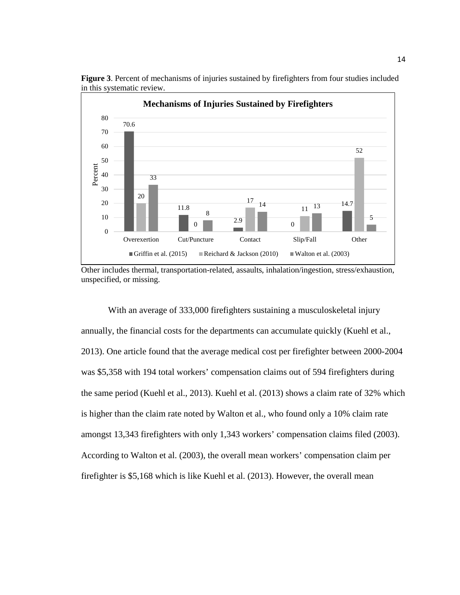

**Figure 3**. Percent of mechanisms of injuries sustained by firefighters from four studies included in this systematic review.

With an average of 333,000 firefighters sustaining a musculoskeletal injury annually, the financial costs for the departments can accumulate quickly (Kuehl et al., 2013). One article found that the average medical cost per firefighter between 2000-2004 was \$5,358 with 194 total workers' compensation claims out of 594 firefighters during the same period (Kuehl et al., 2013). Kuehl et al. (2013) shows a claim rate of 32% which is higher than the claim rate noted by Walton et al., who found only a 10% claim rate amongst 13,343 firefighters with only 1,343 workers' compensation claims filed (2003). According to Walton et al. (2003), the overall mean workers' compensation claim per firefighter is \$5,168 which is like Kuehl et al. (2013). However, the overall mean

Other includes thermal, transportation-related, assaults, inhalation/ingestion, stress/exhaustion, unspecified, or missing.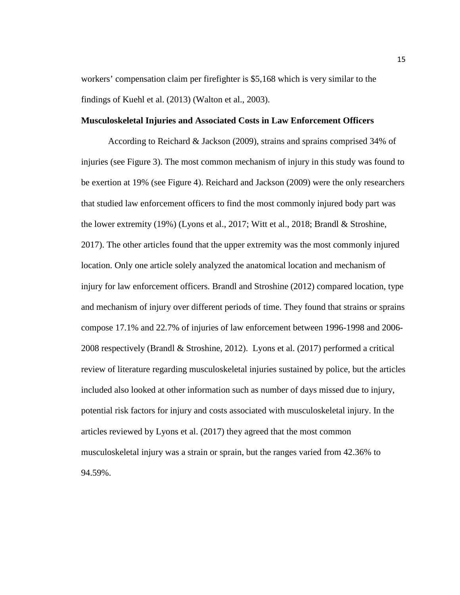workers' compensation claim per firefighter is \$5,168 which is very similar to the findings of Kuehl et al. (2013) (Walton et al., 2003).

#### **Musculoskeletal Injuries and Associated Costs in Law Enforcement Officers**

According to Reichard & Jackson (2009), strains and sprains comprised 34% of injuries (see Figure 3). The most common mechanism of injury in this study was found to be exertion at 19% (see Figure 4). Reichard and Jackson (2009) were the only researchers that studied law enforcement officers to find the most commonly injured body part was the lower extremity (19%) (Lyons et al., 2017; Witt et al., 2018; Brandl & Stroshine, 2017). The other articles found that the upper extremity was the most commonly injured location. Only one article solely analyzed the anatomical location and mechanism of injury for law enforcement officers. Brandl and Stroshine (2012) compared location, type and mechanism of injury over different periods of time. They found that strains or sprains compose 17.1% and 22.7% of injuries of law enforcement between 1996-1998 and 2006- 2008 respectively (Brandl & Stroshine, 2012). Lyons et al. (2017) performed a critical review of literature regarding musculoskeletal injuries sustained by police, but the articles included also looked at other information such as number of days missed due to injury, potential risk factors for injury and costs associated with musculoskeletal injury. In the articles reviewed by Lyons et al. (2017) they agreed that the most common musculoskeletal injury was a strain or sprain, but the ranges varied from 42.36% to 94.59%.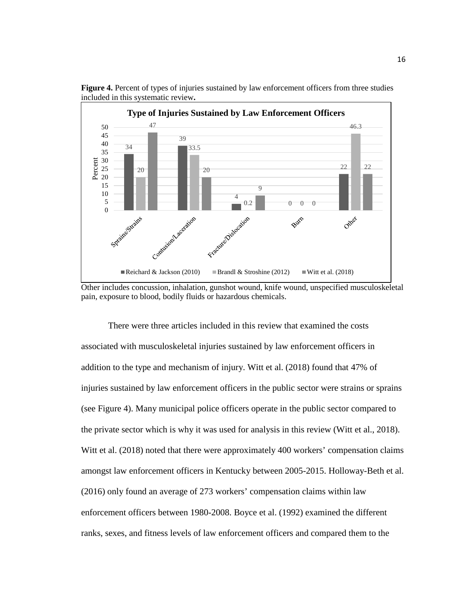

**Figure 4.** Percent of types of injuries sustained by law enforcement officers from three studies included in this systematic review**.** 

Other includes concussion, inhalation, gunshot wound, knife wound, unspecified musculoskeletal pain, exposure to blood, bodily fluids or hazardous chemicals.

There were three articles included in this review that examined the costs associated with musculoskeletal injuries sustained by law enforcement officers in addition to the type and mechanism of injury. Witt et al. (2018) found that 47% of injuries sustained by law enforcement officers in the public sector were strains or sprains (see Figure 4). Many municipal police officers operate in the public sector compared to the private sector which is why it was used for analysis in this review (Witt et al., 2018). Witt et al. (2018) noted that there were approximately 400 workers' compensation claims amongst law enforcement officers in Kentucky between 2005-2015. Holloway-Beth et al. (2016) only found an average of 273 workers' compensation claims within law enforcement officers between 1980-2008. Boyce et al. (1992) examined the different ranks, sexes, and fitness levels of law enforcement officers and compared them to the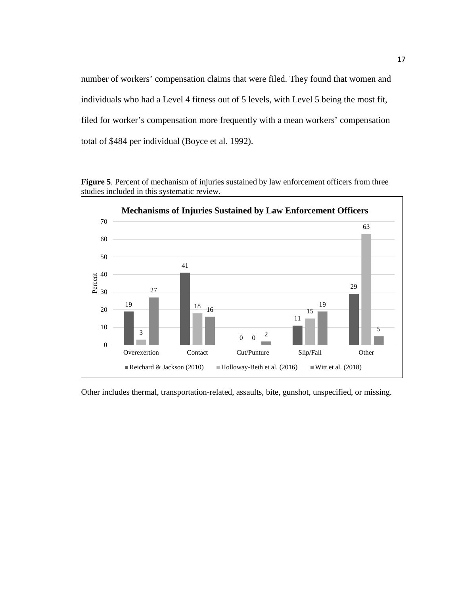number of workers' compensation claims that were filed. They found that women and individuals who had a Level 4 fitness out of 5 levels, with Level 5 being the most fit, filed for worker's compensation more frequently with a mean workers' compensation total of \$484 per individual (Boyce et al. 1992).

Figure 5. Percent of mechanism of injuries sustained by law enforcement officers from three studies included in this systematic review.



Other includes thermal, transportation-related, assaults, bite, gunshot, unspecified, or missing.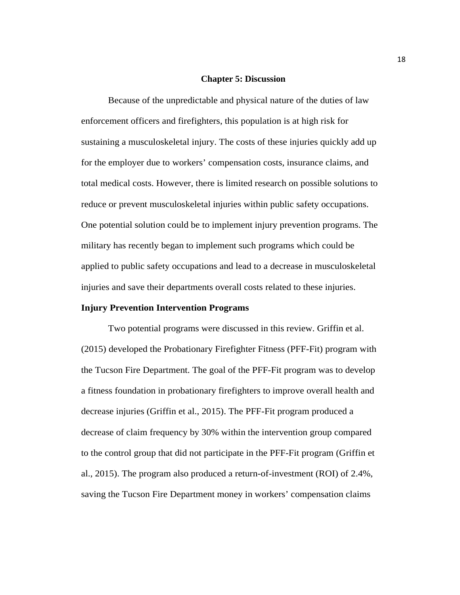#### **Chapter 5: Discussion**

Because of the unpredictable and physical nature of the duties of law enforcement officers and firefighters, this population is at high risk for sustaining a musculoskeletal injury. The costs of these injuries quickly add up for the employer due to workers' compensation costs, insurance claims, and total medical costs. However, there is limited research on possible solutions to reduce or prevent musculoskeletal injuries within public safety occupations. One potential solution could be to implement injury prevention programs. The military has recently began to implement such programs which could be applied to public safety occupations and lead to a decrease in musculoskeletal injuries and save their departments overall costs related to these injuries.

#### **Injury Prevention Intervention Programs**

Two potential programs were discussed in this review. Griffin et al. (2015) developed the Probationary Firefighter Fitness (PFF-Fit) program with the Tucson Fire Department. The goal of the PFF-Fit program was to develop a fitness foundation in probationary firefighters to improve overall health and decrease injuries (Griffin et al., 2015). The PFF-Fit program produced a decrease of claim frequency by 30% within the intervention group compared to the control group that did not participate in the PFF-Fit program (Griffin et al., 2015). The program also produced a return-of-investment (ROI) of 2.4%, saving the Tucson Fire Department money in workers' compensation claims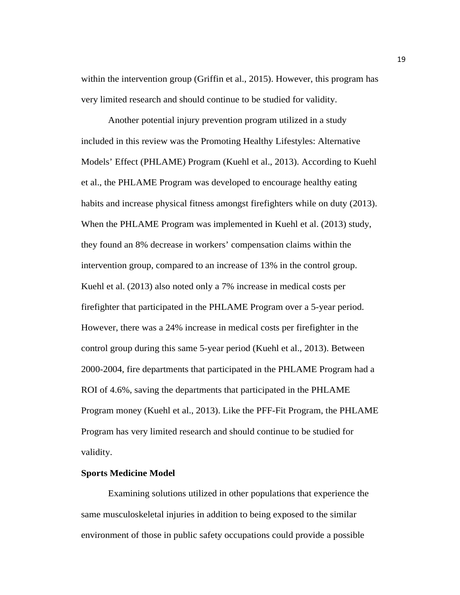within the intervention group (Griffin et al., 2015). However, this program has very limited research and should continue to be studied for validity.

Another potential injury prevention program utilized in a study included in this review was the Promoting Healthy Lifestyles: Alternative Models' Effect (PHLAME) Program (Kuehl et al., 2013). According to Kuehl et al., the PHLAME Program was developed to encourage healthy eating habits and increase physical fitness amongst firefighters while on duty (2013). When the PHLAME Program was implemented in Kuehl et al. (2013) study, they found an 8% decrease in workers' compensation claims within the intervention group, compared to an increase of 13% in the control group. Kuehl et al. (2013) also noted only a 7% increase in medical costs per firefighter that participated in the PHLAME Program over a 5-year period. However, there was a 24% increase in medical costs per firefighter in the control group during this same 5-year period (Kuehl et al., 2013). Between 2000-2004, fire departments that participated in the PHLAME Program had a ROI of 4.6%, saving the departments that participated in the PHLAME Program money (Kuehl et al., 2013). Like the PFF-Fit Program, the PHLAME Program has very limited research and should continue to be studied for validity.

#### **Sports Medicine Model**

Examining solutions utilized in other populations that experience the same musculoskeletal injuries in addition to being exposed to the similar environment of those in public safety occupations could provide a possible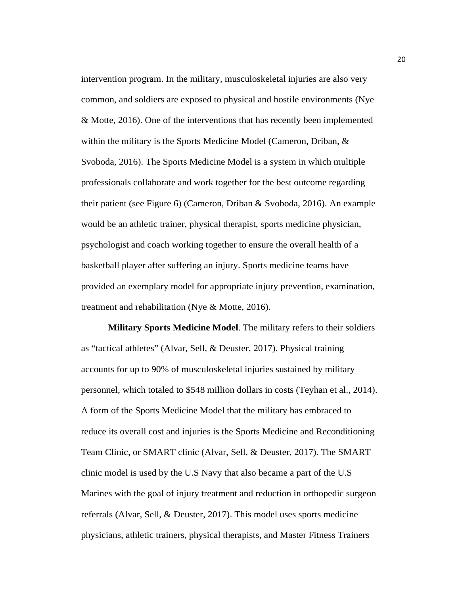intervention program. In the military, musculoskeletal injuries are also very common, and soldiers are exposed to physical and hostile environments (Nye & Motte, 2016). One of the interventions that has recently been implemented within the military is the Sports Medicine Model (Cameron, Driban, & Svoboda, 2016). The Sports Medicine Model is a system in which multiple professionals collaborate and work together for the best outcome regarding their patient (see Figure 6) (Cameron, Driban & Svoboda, 2016). An example would be an athletic trainer, physical therapist, sports medicine physician, psychologist and coach working together to ensure the overall health of a basketball player after suffering an injury. Sports medicine teams have provided an exemplary model for appropriate injury prevention, examination, treatment and rehabilitation (Nye & Motte, 2016).

**Military Sports Medicine Model**. The military refers to their soldiers as "tactical athletes" (Alvar, Sell, & Deuster, 2017). Physical training accounts for up to 90% of musculoskeletal injuries sustained by military personnel, which totaled to \$548 million dollars in costs (Teyhan et al., 2014). A form of the Sports Medicine Model that the military has embraced to reduce its overall cost and injuries is the Sports Medicine and Reconditioning Team Clinic, or SMART clinic (Alvar, Sell, & Deuster, 2017). The SMART clinic model is used by the U.S Navy that also became a part of the U.S Marines with the goal of injury treatment and reduction in orthopedic surgeon referrals (Alvar, Sell, & Deuster, 2017). This model uses sports medicine physicians, athletic trainers, physical therapists, and Master Fitness Trainers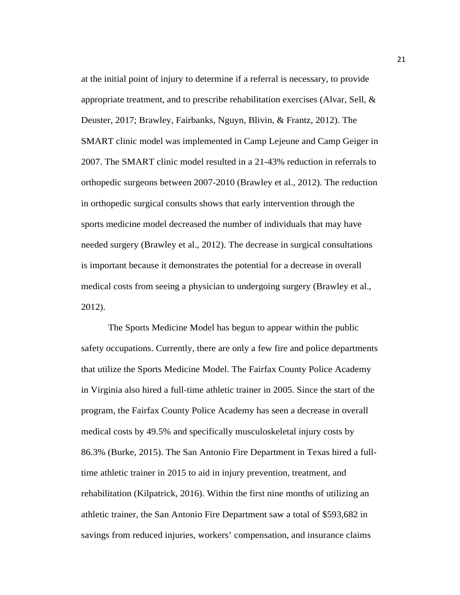at the initial point of injury to determine if a referral is necessary, to provide appropriate treatment, and to prescribe rehabilitation exercises (Alvar, Sell,  $\&$ Deuster, 2017; Brawley, Fairbanks, Nguyn, Blivin, & Frantz, 2012). The SMART clinic model was implemented in Camp Lejeune and Camp Geiger in 2007. The SMART clinic model resulted in a 21-43% reduction in referrals to orthopedic surgeons between 2007-2010 (Brawley et al., 2012). The reduction in orthopedic surgical consults shows that early intervention through the sports medicine model decreased the number of individuals that may have needed surgery (Brawley et al., 2012). The decrease in surgical consultations is important because it demonstrates the potential for a decrease in overall medical costs from seeing a physician to undergoing surgery (Brawley et al., 2012).

The Sports Medicine Model has begun to appear within the public safety occupations. Currently, there are only a few fire and police departments that utilize the Sports Medicine Model. The Fairfax County Police Academy in Virginia also hired a full-time athletic trainer in 2005. Since the start of the program, the Fairfax County Police Academy has seen a decrease in overall medical costs by 49.5% and specifically musculoskeletal injury costs by 86.3% (Burke, 2015). The San Antonio Fire Department in Texas hired a fulltime athletic trainer in 2015 to aid in injury prevention, treatment, and rehabilitation (Kilpatrick, 2016). Within the first nine months of utilizing an athletic trainer, the San Antonio Fire Department saw a total of \$593,682 in savings from reduced injuries, workers' compensation, and insurance claims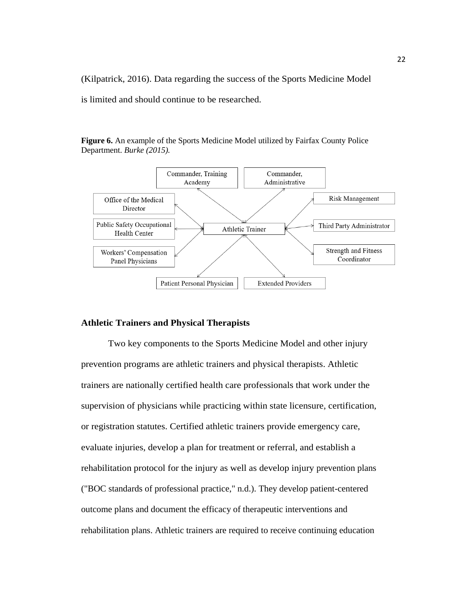(Kilpatrick, 2016). Data regarding the success of the Sports Medicine Model

is limited and should continue to be researched.

**Figure 6.** An example of the Sports Medicine Model utilized by Fairfax County Police Department. *Burke (2015).*



#### **Athletic Trainers and Physical Therapists**

Two key components to the Sports Medicine Model and other injury prevention programs are athletic trainers and physical therapists. Athletic trainers are nationally certified health care professionals that work under the supervision of physicians while practicing within state licensure, certification, or registration statutes. Certified athletic trainers provide emergency care, evaluate injuries, develop a plan for treatment or referral, and establish a rehabilitation protocol for the injury as well as develop injury prevention plans ("BOC standards of professional practice," n.d.). They develop patient-centered outcome plans and document the efficacy of therapeutic interventions and rehabilitation plans. Athletic trainers are required to receive continuing education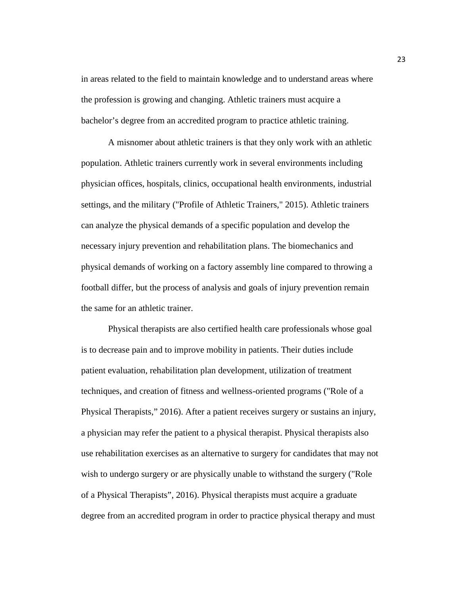in areas related to the field to maintain knowledge and to understand areas where the profession is growing and changing. Athletic trainers must acquire a bachelor's degree from an accredited program to practice athletic training.

A misnomer about athletic trainers is that they only work with an athletic population. Athletic trainers currently work in several environments including physician offices, hospitals, clinics, occupational health environments, industrial settings, and the military ("Profile of Athletic Trainers," 2015). Athletic trainers can analyze the physical demands of a specific population and develop the necessary injury prevention and rehabilitation plans. The biomechanics and physical demands of working on a factory assembly line compared to throwing a football differ, but the process of analysis and goals of injury prevention remain the same for an athletic trainer.

Physical therapists are also certified health care professionals whose goal is to decrease pain and to improve mobility in patients. Their duties include patient evaluation, rehabilitation plan development, utilization of treatment techniques, and creation of fitness and wellness-oriented programs ("Role of a Physical Therapists," 2016). After a patient receives surgery or sustains an injury, a physician may refer the patient to a physical therapist. Physical therapists also use rehabilitation exercises as an alternative to surgery for candidates that may not wish to undergo surgery or are physically unable to withstand the surgery ("Role of a Physical Therapists", 2016). Physical therapists must acquire a graduate degree from an accredited program in order to practice physical therapy and must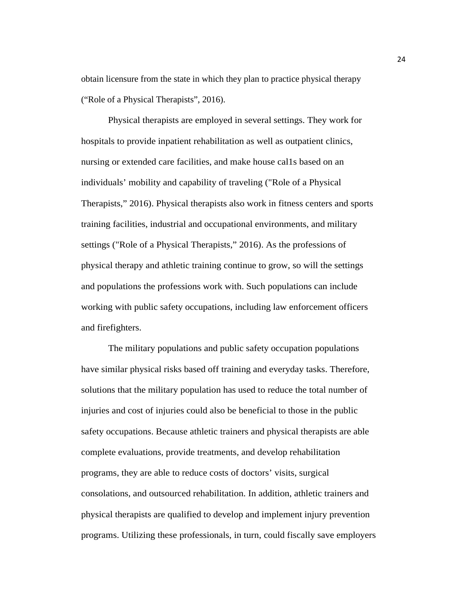obtain licensure from the state in which they plan to practice physical therapy ("Role of a Physical Therapists", 2016).

Physical therapists are employed in several settings. They work for hospitals to provide inpatient rehabilitation as well as outpatient clinics, nursing or extended care facilities, and make house cal1s based on an individuals' mobility and capability of traveling ("Role of a Physical Therapists," 2016). Physical therapists also work in fitness centers and sports training facilities, industrial and occupational environments, and military settings ("Role of a Physical Therapists," 2016). As the professions of physical therapy and athletic training continue to grow, so will the settings and populations the professions work with. Such populations can include working with public safety occupations, including law enforcement officers and firefighters.

The military populations and public safety occupation populations have similar physical risks based off training and everyday tasks. Therefore, solutions that the military population has used to reduce the total number of injuries and cost of injuries could also be beneficial to those in the public safety occupations. Because athletic trainers and physical therapists are able complete evaluations, provide treatments, and develop rehabilitation programs, they are able to reduce costs of doctors' visits, surgical consolations, and outsourced rehabilitation. In addition, athletic trainers and physical therapists are qualified to develop and implement injury prevention programs. Utilizing these professionals, in turn, could fiscally save employers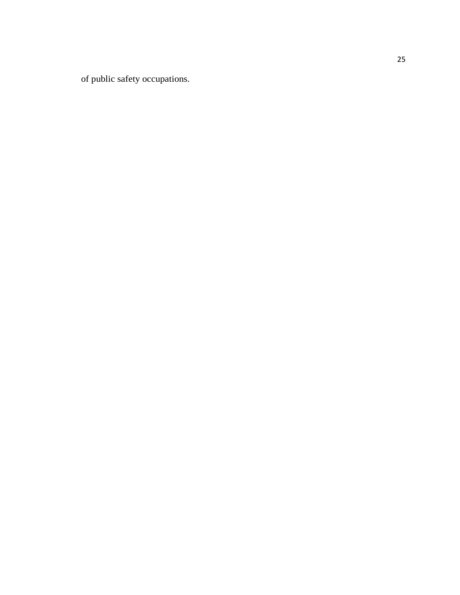of public safety occupations.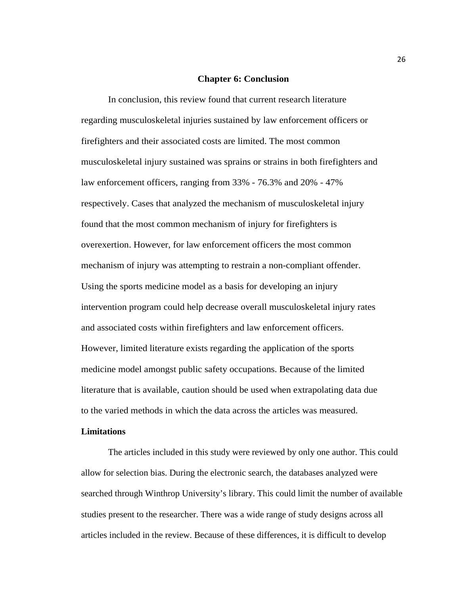#### **Chapter 6: Conclusion**

In conclusion, this review found that current research literature regarding musculoskeletal injuries sustained by law enforcement officers or firefighters and their associated costs are limited. The most common musculoskeletal injury sustained was sprains or strains in both firefighters and law enforcement officers, ranging from 33% - 76.3% and 20% - 47% respectively. Cases that analyzed the mechanism of musculoskeletal injury found that the most common mechanism of injury for firefighters is overexertion. However, for law enforcement officers the most common mechanism of injury was attempting to restrain a non-compliant offender. Using the sports medicine model as a basis for developing an injury intervention program could help decrease overall musculoskeletal injury rates and associated costs within firefighters and law enforcement officers. However, limited literature exists regarding the application of the sports medicine model amongst public safety occupations. Because of the limited literature that is available, caution should be used when extrapolating data due to the varied methods in which the data across the articles was measured.

#### **Limitations**

The articles included in this study were reviewed by only one author. This could allow for selection bias. During the electronic search, the databases analyzed were searched through Winthrop University's library. This could limit the number of available studies present to the researcher. There was a wide range of study designs across all articles included in the review. Because of these differences, it is difficult to develop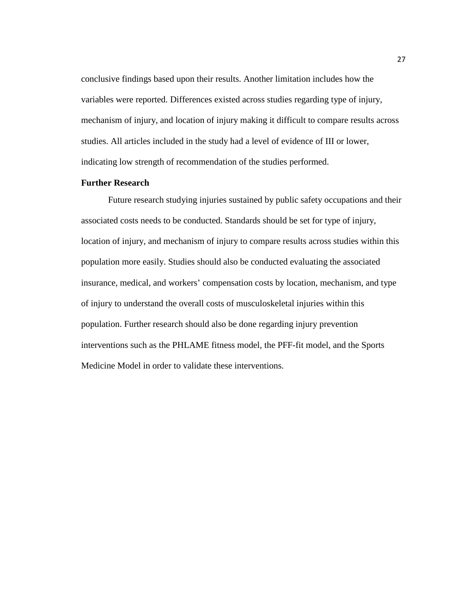conclusive findings based upon their results. Another limitation includes how the variables were reported. Differences existed across studies regarding type of injury, mechanism of injury, and location of injury making it difficult to compare results across studies. All articles included in the study had a level of evidence of III or lower, indicating low strength of recommendation of the studies performed.

#### **Further Research**

Future research studying injuries sustained by public safety occupations and their associated costs needs to be conducted. Standards should be set for type of injury, location of injury, and mechanism of injury to compare results across studies within this population more easily. Studies should also be conducted evaluating the associated insurance, medical, and workers' compensation costs by location, mechanism, and type of injury to understand the overall costs of musculoskeletal injuries within this population. Further research should also be done regarding injury prevention interventions such as the PHLAME fitness model, the PFF-fit model, and the Sports Medicine Model in order to validate these interventions.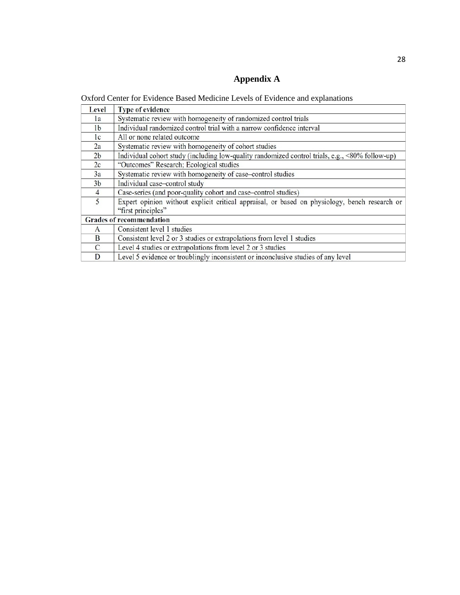### **Appendix A**

Oxford Center for Evidence Based Medicine Levels of Evidence and explanations

| Level          | <b>Type of evidence</b>                                                                         |
|----------------|-------------------------------------------------------------------------------------------------|
| 1a             | Systematic review with homogeneity of randomized control trials                                 |
| 1 <sub>b</sub> | Individual randomized control trial with a narrow confidence interval                           |
| 1c             | All or none related outcome                                                                     |
| 2a             | Systematic review with homogeneity of cohort studies                                            |
| 2 <sub>b</sub> | Individual cohort study (including low-quality randomized control trials, e.g., <80% follow-up) |
| 2c             | "Outcomes" Research; Ecological studies                                                         |
| 3a             | Systematic review with homogeneity of case-control studies                                      |
| 3 <sub>b</sub> | Individual case-control study                                                                   |
| $\overline{4}$ | Case-series (and poor-quality cohort and case-control studies)                                  |
| 5              | Expert opinion without explicit critical appraisal, or based on physiology, bench research or   |
|                | "first principles"                                                                              |
|                | <b>Grades of recommendation</b>                                                                 |
| A              | Consistent level 1 studies                                                                      |
| B              | Consistent level 2 or 3 studies or extrapolations from level 1 studies                          |
| C              | Level 4 studies or extrapolations from level 2 or 3 studies                                     |
| D              | Level 5 evidence or troublingly inconsistent or inconclusive studies of any level               |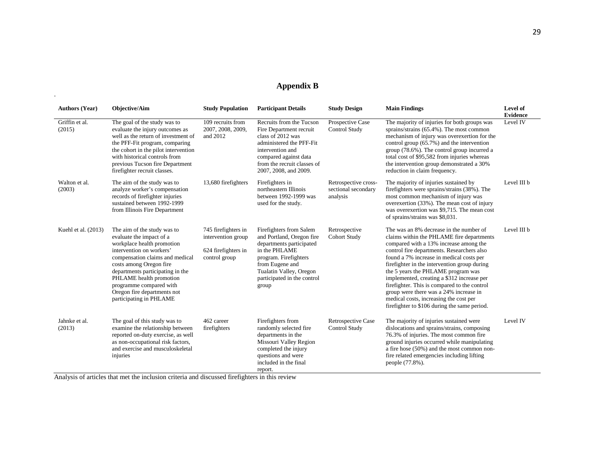### **Appendix B**

| <b>Authors (Year)</b>    | <b>Objective/Aim</b>                                                                                                                                                                                                                                                                                                                | <b>Study Population</b>                                                           | <b>Participant Details</b>                                                                                                                                                                                       | <b>Study Design</b>                                     | <b>Main Findings</b>                                                                                                                                                                                                                                                                                                                                                                                                                                                                                                                             | Level of<br><b>Evidence</b> |
|--------------------------|-------------------------------------------------------------------------------------------------------------------------------------------------------------------------------------------------------------------------------------------------------------------------------------------------------------------------------------|-----------------------------------------------------------------------------------|------------------------------------------------------------------------------------------------------------------------------------------------------------------------------------------------------------------|---------------------------------------------------------|--------------------------------------------------------------------------------------------------------------------------------------------------------------------------------------------------------------------------------------------------------------------------------------------------------------------------------------------------------------------------------------------------------------------------------------------------------------------------------------------------------------------------------------------------|-----------------------------|
| Griffin et al.<br>(2015) | The goal of the study was to<br>evaluate the injury outcomes as<br>well as the return of investment of<br>the PFF-Fit program, comparing<br>the cohort in the pilot intervention<br>with historical controls from<br>previous Tucson fire Department<br>firefighter recruit classes.                                                | 109 recruits from<br>2007, 2008, 2009,<br>and 2012                                | Recruits from the Tucson<br>Fire Department recruit<br>class of 2012 was<br>administered the PFF-Fit<br>intervention and<br>compared against data<br>from the recruit classes of<br>2007, 2008, and 2009.        | Prospective Case<br>Control Study                       | The majority of injuries for both groups was<br>sprains/strains (65.4%). The most common<br>mechanism of injury was overexertion for the<br>control group (65.7%) and the intervention<br>group (78.6%). The control group incurred a<br>total cost of \$95,582 from injuries whereas<br>the intervention group demonstrated a 30%<br>reduction in claim frequency.                                                                                                                                                                              | Level IV                    |
| Walton et al.<br>(2003)  | The aim of the study was to<br>analyze worker's compensation<br>records of firefighter injuries<br>sustained between 1992-1999<br>from Illinois Fire Department                                                                                                                                                                     | 13,680 firefighters                                                               | Firefighters in<br>northeastern Illinois<br>between 1992-1999 was<br>used for the study.                                                                                                                         | Retrospective cross-<br>sectional secondary<br>analysis | The majority of injuries sustained by<br>firefighters were sprains/strains (38%). The<br>most common mechanism of injury was<br>overexertion (33%). The mean cost of injury<br>was overexertion was \$9,715. The mean cost<br>of sprains/strains was \$8,031.                                                                                                                                                                                                                                                                                    | Level III b                 |
| Kuehl et al. (2013)      | The aim of the study was to<br>evaluate the impact of a<br>workplace health promotion<br>intervention on workers'<br>compensation claims and medical<br>costs among Oregon fire<br>departments participating in the<br>PHLAME health promotion<br>programme compared with<br>Oregon fire departments not<br>participating in PHLAME | 745 firefighters in<br>intervention group<br>624 firefighters in<br>control group | Firefighters from Salem<br>and Portland, Oregon fire<br>departments participated<br>in the PHLAME<br>program. Firefighters<br>from Eugene and<br>Tualatin Valley, Oregon<br>participated in the control<br>group | Retrospective<br>Cohort Study                           | The was an 8% decrease in the number of<br>claims within the PHLAME fire departments<br>compared with a 13% increase among the<br>control fire departments. Researchers also<br>found a 7% increase in medical costs per<br>firefighter in the intervention group during<br>the 5 years the PHLAME program was<br>implemented, creating a \$312 increase per<br>firefighter. This is compared to the control<br>group were there was a 24% increase in<br>medical costs, increasing the cost per<br>firefighter to \$106 during the same period. | Level III b                 |
| Jahnke et al.<br>(2013)  | The goal of this study was to<br>examine the relationship between<br>reported on-duty exercise, as well<br>as non-occupational risk factors,<br>and exercise and musculoskeletal<br>injuries                                                                                                                                        | 462 career<br>firefighters                                                        | Firefighters from<br>randomly selected fire<br>departments in the<br>Missouri Valley Region<br>completed the injury<br>questions and were<br>included in the final<br>report.                                    | Retrospective Case<br>Control Study                     | The majority of injuries sustained were<br>dislocations and sprains/strains, composing<br>76.3% of injuries. The most common fire<br>ground injuries occurred while manipulating<br>a fire hose (50%) and the most common non-<br>fire related emergencies including lifting<br>people (77.8%).                                                                                                                                                                                                                                                  | Level IV                    |

Analysis of articles that met the inclusion criteria and discussed firefighters in this review

.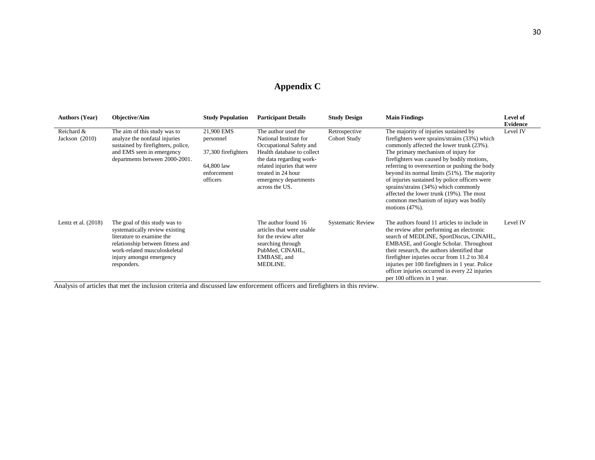## **Appendix C**

| <b>Authors (Year)</b>          | <b>Objective/Aim</b>                                                                                                                                                                                        | <b>Study Population</b>                                                                 | <b>Participant Details</b>                                                                                                                                                                                                        | <b>Study Design</b>           | <b>Main Findings</b>                                                                                                                                                                                                                                                                                                                                                                                                                                                                                                        | Level of<br><b>Evidence</b> |
|--------------------------------|-------------------------------------------------------------------------------------------------------------------------------------------------------------------------------------------------------------|-----------------------------------------------------------------------------------------|-----------------------------------------------------------------------------------------------------------------------------------------------------------------------------------------------------------------------------------|-------------------------------|-----------------------------------------------------------------------------------------------------------------------------------------------------------------------------------------------------------------------------------------------------------------------------------------------------------------------------------------------------------------------------------------------------------------------------------------------------------------------------------------------------------------------------|-----------------------------|
| Reichard &<br>Jackson $(2010)$ | The aim of this study was to<br>analyze the nonfatal injuries<br>sustained by firefighters, police,<br>and EMS seen in emergency<br>departments between 2000-2001.                                          | 21,900 EMS<br>personnel<br>37,300 firefighters<br>64,800 law<br>enforcement<br>officers | The author used the<br>National Institute for<br>Occupational Safety and<br>Health database to collect<br>the data regarding work-<br>related injuries that were<br>treated in 24 hour<br>emergency departments<br>across the US. | Retrospective<br>Cohort Study | The majority of injuries sustained by<br>firefighters were sprains/strains (33%) which<br>commonly affected the lower trunk (23%).<br>The primary mechanism of injury for<br>firefighters was caused by bodily motions,<br>referring to overexertion or pushing the body<br>beyond its normal limits (51%). The majority<br>of injuries sustained by police officers were<br>sprains/strains (34%) which commonly<br>affected the lower trunk (19%). The most<br>common mechanism of injury was bodily<br>motions $(47%)$ . | Level IV                    |
| Lentz et al. $(2018)$          | The goal of this study was to<br>systematically review existing<br>literature to examine the<br>relationship between fitness and<br>work-related musculoskeletal<br>injury amongst emergency<br>responders. |                                                                                         | The author found 16<br>articles that were usable<br>for the review after<br>searching through<br>PubMed, CINAHL,<br>EMBASE, and<br>MEDLINE.                                                                                       | <b>Systematic Review</b>      | The authors found 11 articles to include in<br>the review after performing an electronic<br>search of MEDLINE, SportDiscus, CINAHL,<br>EMBASE, and Google Scholar. Throughout<br>their research, the authors identified that<br>firefighter injuries occur from 11.2 to 30.4<br>injuries per 100 firefighters in 1 year. Police<br>officer injuries occurred in every 22 injuries<br>per 100 officers in 1 year.                                                                                                            | Level IV                    |

Analysis of articles that met the inclusion criteria and discussed law enforcement officers and firefighters in this review.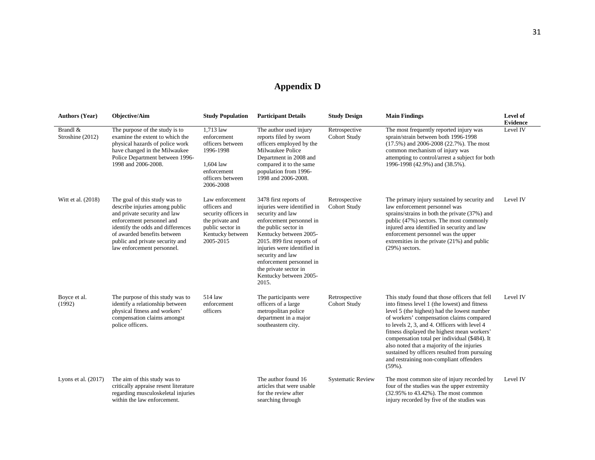## **Appendix D**

| <b>Authors (Year)</b>        | Objective/Aim                                                                                                                                                                                                                                                     | <b>Study Population</b>                                                                                                         | <b>Participant Details</b>                                                                                                                                                                                                                                                                                                      | <b>Study Design</b>                  | <b>Main Findings</b>                                                                                                                                                                                                                                                                                                                                                                                                                                                                              | Level of<br><b>Evidence</b> |
|------------------------------|-------------------------------------------------------------------------------------------------------------------------------------------------------------------------------------------------------------------------------------------------------------------|---------------------------------------------------------------------------------------------------------------------------------|---------------------------------------------------------------------------------------------------------------------------------------------------------------------------------------------------------------------------------------------------------------------------------------------------------------------------------|--------------------------------------|---------------------------------------------------------------------------------------------------------------------------------------------------------------------------------------------------------------------------------------------------------------------------------------------------------------------------------------------------------------------------------------------------------------------------------------------------------------------------------------------------|-----------------------------|
| Brandl &<br>Stroshine (2012) | The purpose of the study is to<br>examine the extent to which the<br>physical hazards of police work<br>have changed in the Milwaukee<br>Police Department between 1996-<br>1998 and 2006-2008.                                                                   | 1,713 law<br>enforcement<br>officers between<br>1996-1998<br>1,604 law<br>enforcement<br>officers between<br>2006-2008          | The author used injury<br>reports filed by sworn<br>officers employed by the<br>Milwaukee Police<br>Department in 2008 and<br>compared it to the same<br>population from 1996-<br>1998 and 2006-2008.                                                                                                                           | Retrospective<br><b>Cohort Study</b> | The most frequently reported injury was<br>sprain/strain between both 1996-1998<br>(17.5%) and 2006-2008 (22.7%). The most<br>common mechanism of injury was<br>attempting to control/arrest a subject for both<br>1996-1998 (42.9%) and (38.5%).                                                                                                                                                                                                                                                 | Level IV                    |
| Witt et al. (2018)           | The goal of this study was to<br>describe injuries among public<br>and private security and law<br>enforcement personnel and<br>identify the odds and differences<br>of awarded benefits between<br>public and private security and<br>law enforcement personnel. | Law enforcement<br>officers and<br>security officers in<br>the private and<br>public sector in<br>Kentucky between<br>2005-2015 | 3478 first reports of<br>injuries were identified in<br>security and law<br>enforcement personnel in<br>the public sector in<br>Kentucky between 2005-<br>2015. 899 first reports of<br>injuries were identified in<br>security and law<br>enforcement personnel in<br>the private sector in<br>Kentucky between 2005-<br>2015. | Retrospective<br><b>Cohort Study</b> | The primary injury sustained by security and<br>law enforcement personnel was<br>sprains/strains in both the private (37%) and<br>public (47%) sectors. The most commonly<br>injured area identified in security and law<br>enforcement personnel was the upper<br>extremities in the private (21%) and public<br>$(29\%)$ sectors.                                                                                                                                                               | Level IV                    |
| Boyce et al.<br>(1992)       | The purpose of this study was to<br>identify a relationship between<br>physical fitness and workers'<br>compensation claims amongst<br>police officers.                                                                                                           | 514 law<br>enforcement<br>officers                                                                                              | The participants were<br>officers of a large<br>metropolitan police<br>department in a major<br>southeastern city.                                                                                                                                                                                                              | Retrospective<br><b>Cohort Study</b> | This study found that those officers that fell<br>into fitness level 1 (the lowest) and fitness<br>level 5 (the highest) had the lowest number<br>of workers' compensation claims compared<br>to levels 2, 3, and 4. Officers with level 4<br>fitness displayed the highest mean workers'<br>compensation total per individual (\$484). It<br>also noted that a majority of the injuries<br>sustained by officers resulted from pursuing<br>and restraining non-compliant offenders<br>$(59\%)$ . | Level IV                    |
| Lyons et al. $(2017)$        | The aim of this study was to<br>critically appraise resent literature<br>regarding musculoskeletal injuries<br>within the law enforcement.                                                                                                                        |                                                                                                                                 | The author found 16<br>articles that were usable<br>for the review after<br>searching through                                                                                                                                                                                                                                   | <b>Systematic Review</b>             | The most common site of injury recorded by<br>four of the studies was the upper extremity<br>(32.95% to 43.42%). The most common<br>injury recorded by five of the studies was                                                                                                                                                                                                                                                                                                                    | Level IV                    |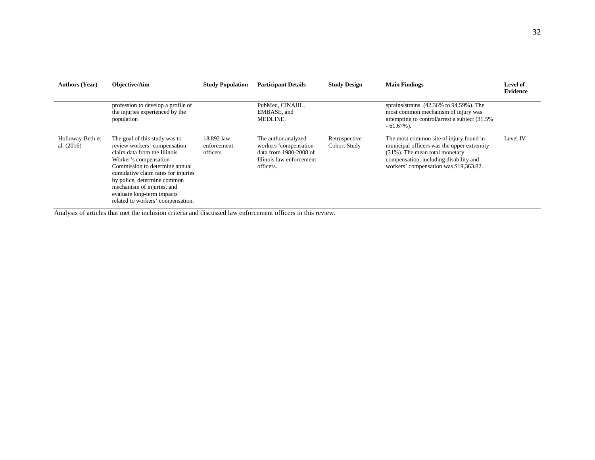| <b>Authors (Year)</b>            | <b>Objective/Aim</b>                                                                                                                                                                                                                                                                                                            | <b>Study Population</b>               | <b>Participant Details</b>                                                                                      | <b>Study Design</b>           | <b>Main Findings</b>                                                                                                                                                                                            | <b>Level of</b><br><b>Evidence</b> |
|----------------------------------|---------------------------------------------------------------------------------------------------------------------------------------------------------------------------------------------------------------------------------------------------------------------------------------------------------------------------------|---------------------------------------|-----------------------------------------------------------------------------------------------------------------|-------------------------------|-----------------------------------------------------------------------------------------------------------------------------------------------------------------------------------------------------------------|------------------------------------|
|                                  | profession to develop a profile of<br>the injuries experienced by the<br>population                                                                                                                                                                                                                                             |                                       | PubMed, CINAHL,<br>EMBASE, and<br>MEDLINE.                                                                      |                               | sprains/strains. (42.36% to 94.59%). The<br>most common mechanism of injury was<br>attempting to control/arrest a subject (31.5%)<br>$-61.67\%$ ).                                                              |                                    |
| Holloway-Beth et<br>al. $(2016)$ | The goal of this study was to<br>review workers' compensation<br>claim data from the Illinois<br>Worker's compensation<br>Commission to determine annual<br>cumulative claim rates for injuries<br>by police, determine common<br>mechanism of injuries, and<br>evaluate long-term impacts<br>related to workers' compensation. | 18,892 law<br>enforcement<br>officers | The author analyzed<br>workers 'compensation<br>data from 1980-2008 of<br>Illinois law enforcement<br>officers. | Retrospective<br>Cohort Study | The most common site of injury found in<br>municipal officers was the upper extremity<br>$(31\%)$ . The mean total monetary<br>compensation, including disability and<br>workers' compensation was \$19,363.82. | Level IV                           |

Analysis of articles that met the inclusion criteria and discussed law enforcement officers in this review.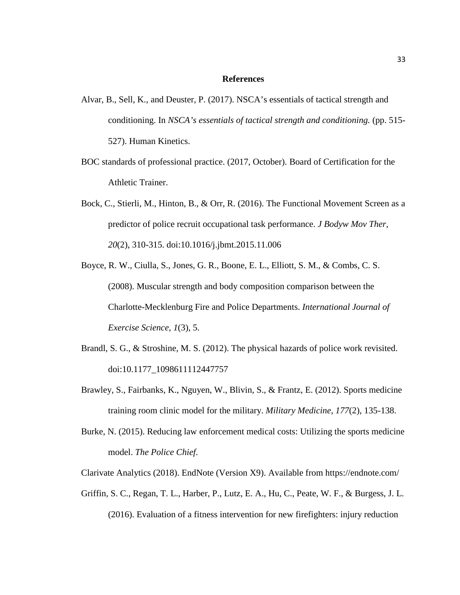#### **References**

- Alvar, B., Sell, K., and Deuster, P. (2017). NSCA's essentials of tactical strength and conditioning. In *NSCA's essentials of tactical strength and conditioning.* (pp. 515- 527). Human Kinetics.
- BOC standards of professional practice. (2017, October). Board of Certification for the Athletic Trainer.
- Bock, C., Stierli, M., Hinton, B., & Orr, R. (2016). The Functional Movement Screen as a predictor of police recruit occupational task performance. *J Bodyw Mov Ther, 20*(2), 310-315. doi:10.1016/j.jbmt.2015.11.006
- Boyce, R. W., Ciulla, S., Jones, G. R., Boone, E. L., Elliott, S. M., & Combs, C. S. (2008). Muscular strength and body composition comparison between the Charlotte-Mecklenburg Fire and Police Departments. *International Journal of Exercise Science, 1*(3), 5.
- Brandl, S. G., & Stroshine, M. S. (2012). The physical hazards of police work revisited. doi:10.1177\_1098611112447757
- Brawley, S., Fairbanks, K., Nguyen, W., Blivin, S., & Frantz, E. (2012). Sports medicine training room clinic model for the military. *Military Medicine, 177*(2), 135-138.
- Burke, N. (2015). Reducing law enforcement medical costs: Utilizing the sports medicine model. *The Police Chief*.

Clarivate Analytics (2018). EndNote (Version X9). Available from https://endnote.com/

Griffin, S. C., Regan, T. L., Harber, P., Lutz, E. A., Hu, C., Peate, W. F., & Burgess, J. L. (2016). Evaluation of a fitness intervention for new firefighters: injury reduction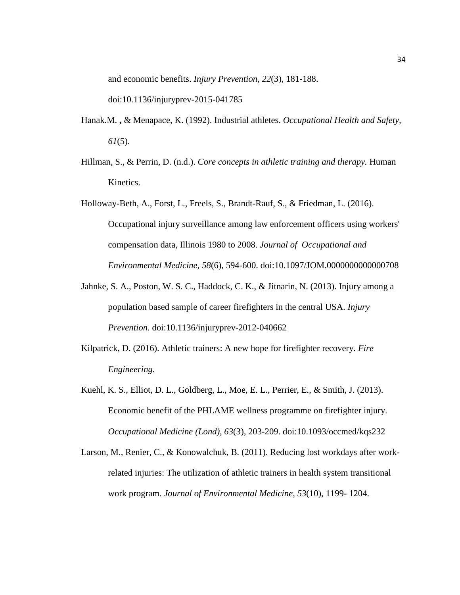and economic benefits. *Injury Prevention, 22*(3), 181-188.

doi:10.1136/injuryprev-2015-041785

- Hanak.M. **,** & Menapace, K. (1992). Industrial athletes. *Occupational Health and Safety, 61*(5).
- Hillman, S., & Perrin, D. (n.d.). *Core concepts in athletic training and therapy.* Human Kinetics.
- Holloway-Beth, A., Forst, L., Freels, S., Brandt-Rauf, S., & Friedman, L. (2016). Occupational injury surveillance among law enforcement officers using workers' compensation data, Illinois 1980 to 2008. *Journal of Occupational and Environmental Medicine, 58*(6), 594-600. doi:10.1097/JOM.0000000000000708
- Jahnke, S. A., Poston, W. S. C., Haddock, C. K., & Jitnarin, N. (2013). Injury among a population based sample of career firefighters in the central USA. *Injury Prevention.* doi:10.1136/injuryprev-2012-040662
- Kilpatrick, D. (2016). Athletic trainers: A new hope for firefighter recovery. *Fire Engineering*.
- Kuehl, K. S., Elliot, D. L., Goldberg, L., Moe, E. L., Perrier, E., & Smith, J. (2013). Economic benefit of the PHLAME wellness programme on firefighter injury. *Occupational Medicine (Lond), 63*(3), 203-209. doi:10.1093/occmed/kqs232
- Larson, M., Renier, C., & Konowalchuk, B. (2011). Reducing lost workdays after workrelated injuries: The utilization of athletic trainers in health system transitional work program. *Journal of Environmental Medicine, 53*(10), 1199- 1204.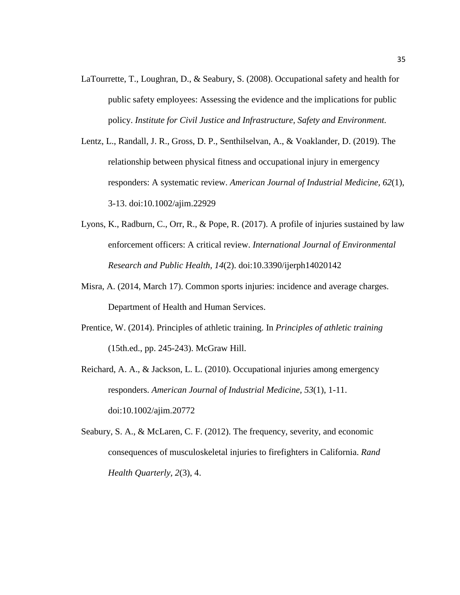- LaTourrette, T., Loughran, D., & Seabury, S. (2008). Occupational safety and health for public safety employees: Assessing the evidence and the implications for public policy. *Institute for Civil Justice and Infrastructure, Safety and Environment.*
- Lentz, L., Randall, J. R., Gross, D. P., Senthilselvan, A., & Voaklander, D. (2019). The relationship between physical fitness and occupational injury in emergency responders: A systematic review. *American Journal of Industrial Medicine, 62*(1), 3-13. doi:10.1002/ajim.22929
- Lyons, K., Radburn, C., Orr, R., & Pope, R. (2017). A profile of injuries sustained by law enforcement officers: A critical review. *International Journal of Environmental Research and Public Health, 14*(2). doi:10.3390/ijerph14020142
- Misra, A. (2014, March 17). Common sports injuries: incidence and average charges. Department of Health and Human Services.
- Prentice, W. (2014). Principles of athletic training. In *Principles of athletic training*  (15th.ed., pp. 245-243). McGraw Hill.
- Reichard, A. A., & Jackson, L. L. (2010). Occupational injuries among emergency responders. *American Journal of Industrial Medicine, 53*(1), 1-11. doi:10.1002/ajim.20772
- Seabury, S. A., & McLaren, C. F. (2012). The frequency, severity, and economic consequences of musculoskeletal injuries to firefighters in California. *Rand Health Quarterly, 2*(3), 4.